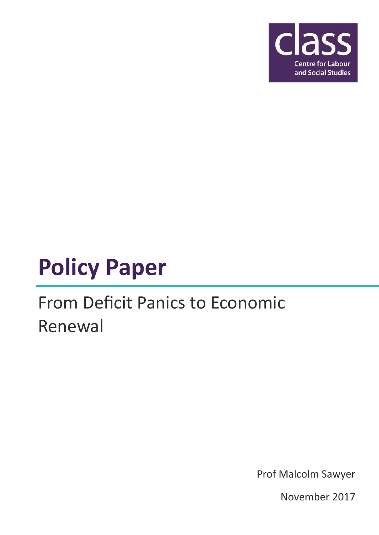

# **Policy Paper**

# From Deficit Panics to Economic Renewal

Prof Malcolm Sawyer

November 2017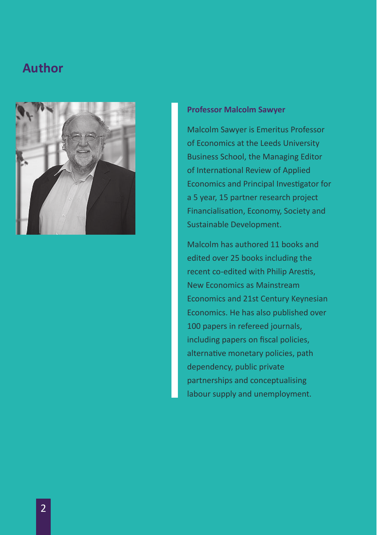### **Author**



### **Professor Malcolm Sawyer**

Malcolm Sawyer is Emeritus Professor of Economics at the Leeds University Business School, the Managing Editor of International Review of Applied Economics and Principal Investigator for a 5 year, 15 partner research project Financialisation, Economy, Society and Sustainable Development.

Malcolm has authored 11 books and edited over 25 books including the recent co-edited with Philip Arestis, New Economics as Mainstream Economics and 21st Century Keynesian Economics. He has also published over 100 papers in refereed journals, including papers on fiscal policies, alternative monetary policies, path dependency, public private partnerships and conceptualising labour supply and unemployment.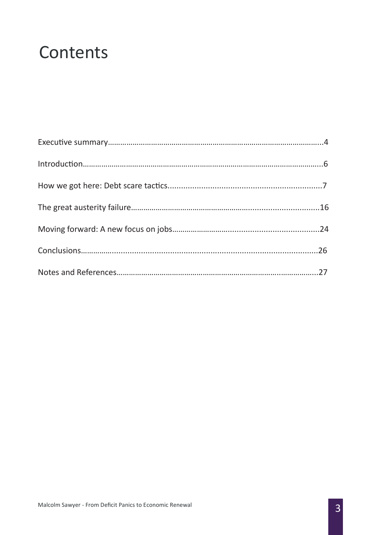# **Contents**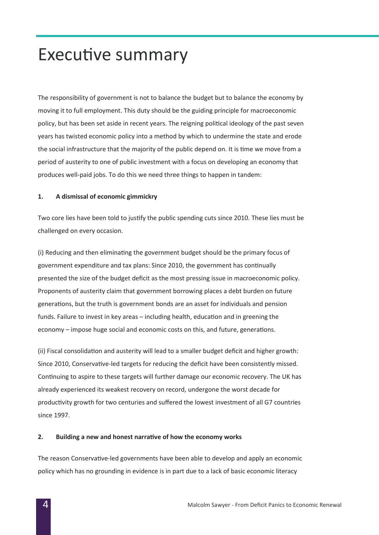### Executive summary

The responsibility of government is not to balance the budget but to balance the economy by moving it to full employment. This duty should be the guiding principle for macroeconomic policy, but has been set aside in recent years. The reigning political ideology of the past seven years has twisted economic policy into a method by which to undermine the state and erode the social infrastructure that the majority of the public depend on. It is time we move from a period of austerity to one of public investment with a focus on developing an economy that produces well-paid jobs. To do this we need three things to happen in tandem:

### **1. A dismissal of economic gimmickry**

Two core lies have been told to justify the public spending cuts since 2010. These lies must be challenged on every occasion.

(i) Reducing and then eliminating the government budget should be the primary focus of government expenditure and tax plans: Since 2010, the government has continually presented the size of the budget deficit as the most pressing issue in macroeconomic policy. Proponents of austerity claim that government borrowing places a debt burden on future generations, but the truth is government bonds are an asset for individuals and pension funds. Failure to invest in key areas – including health, education and in greening the economy – impose huge social and economic costs on this, and future, generations.

(ii) Fiscal consolidation and austerity will lead to a smaller budget deficit and higher growth: Since 2010, Conservative-led targets for reducing the deficit have been consistently missed. Continuing to aspire to these targets will further damage our economic recovery. The UK has already experienced its weakest recovery on record, undergone the worst decade for productivity growth for two centuries and suffered the lowest investment of all G7 countries since 1997.

#### **2. Building a new and honest narrative of how the economy works**

The reason Conservative-led governments have been able to develop and apply an economic policy which has no grounding in evidence is in part due to a lack of basic economic literacy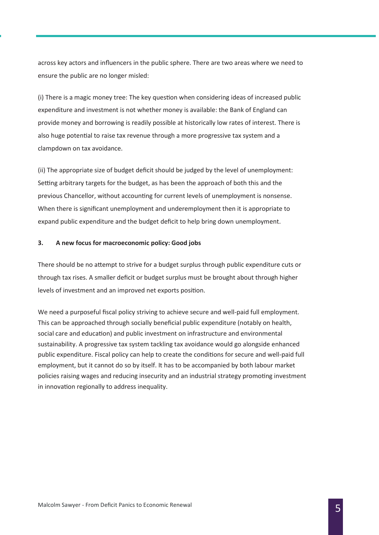across key actors and influencers in the public sphere. There are two areas where we need to ensure the public are no longer misled:

(i) There is a magic money tree: The key question when considering ideas of increased public expenditure and investment is not whether money is available: the Bank of England can provide money and borrowing is readily possible at historically low rates of interest. There is also huge potential to raise tax revenue through a more progressive tax system and a clampdown on tax avoidance.

(ii) The appropriate size of budget deficit should be judged by the level of unemployment: Setting arbitrary targets for the budget, as has been the approach of both this and the previous Chancellor, without accounting for current levels of unemployment is nonsense. When there is significant unemployment and underemployment then it is appropriate to expand public expenditure and the budget deficit to help bring down unemployment.

#### **3. A new focus for macroeconomic policy: Good jobs**

There should be no attempt to strive for a budget surplus through public expenditure cuts or through tax rises. A smaller deficit or budget surplus must be brought about through higher levels of investment and an improved net exports position.

We need a purposeful fiscal policy striving to achieve secure and well-paid full employment. This can be approached through socially beneficial public expenditure (notably on health, social care and education) and public investment on infrastructure and environmental sustainability. A progressive tax system tackling tax avoidance would go alongside enhanced public expenditure. Fiscal policy can help to create the conditions for secure and well-paid full employment, but it cannot do so by itself. It has to be accompanied by both labour market policies raising wages and reducing insecurity and an industrial strategy promoting investment in innovation regionally to address inequality.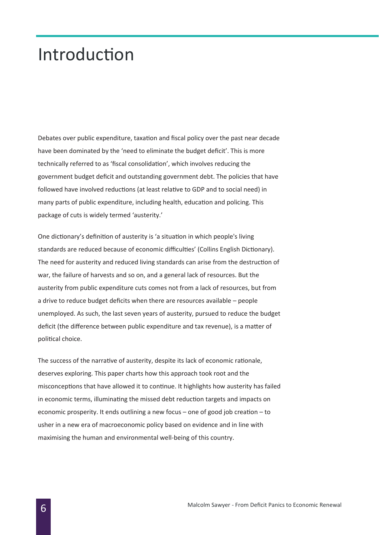### Introduction

Debates over public expenditure, taxation and fiscal policy over the past near decade have been dominated by the 'need to eliminate the budget deficit'. This is more technically referred to as 'fiscal consolidation', which involves reducing the government budget deficit and outstanding government debt. The policies that have followed have involved reductions (at least relative to GDP and to social need) in many parts of public expenditure, including health, education and policing. This package of cuts is widely termed 'austerity.'

One dictionary's definition of austerity is 'a situation in which people's living standards are reduced because of economic difficulties' (Collins English Dictionary). The need for austerity and reduced living standards can arise from the destruction of war, the failure of harvests and so on, and a general lack of resources. But the austerity from public expenditure cuts comes not from a lack of resources, but from a drive to reduce budget deficits when there are resources available – people unemployed. As such, the last seven years of austerity, pursued to reduce the budget deficit (the difference between public expenditure and tax revenue), is a matter of political choice.

The success of the narrative of austerity, despite its lack of economic rationale, deserves exploring. This paper charts how this approach took root and the misconceptions that have allowed it to continue. It highlights how austerity has failed in economic terms, illuminating the missed debt reduction targets and impacts on economic prosperity. It ends outlining a new focus – one of good job creation – to usher in a new era of macroeconomic policy based on evidence and in line with maximising the human and environmental well-being of this country.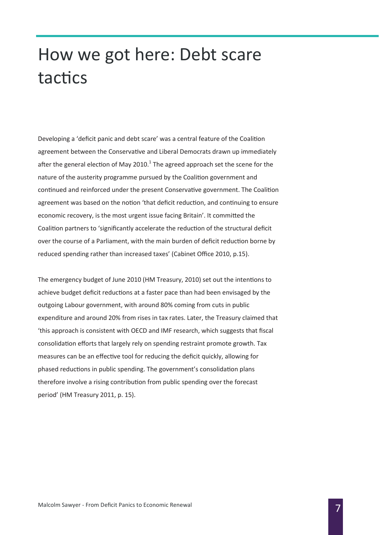# How we got here: Debt scare tactics

Developing a 'deficit panic and debt scare' was a central feature of the Coalition agreement between the Conservative and Liberal Democrats drawn up immediately after the general election of May 2010.<sup>1</sup> The agreed approach set the scene for the nature of the austerity programme pursued by the Coalition government and continued and reinforced under the present Conservative government. The Coalition agreement was based on the notion 'that deficit reduction, and continuing to ensure economic recovery, is the most urgent issue facing Britain'. It committed the Coalition partners to 'significantly accelerate the reduction of the structural deficit over the course of a Parliament, with the main burden of deficit reduction borne by reduced spending rather than increased taxes' (Cabinet Office 2010, p.15).

The emergency budget of June 2010 (HM Treasury, 2010) set out the intentions to achieve budget deficit reductions at a faster pace than had been envisaged by the outgoing Labour government, with around 80% coming from cuts in public expenditure and around 20% from rises in tax rates. Later, the Treasury claimed that 'this approach is consistent with OECD and IMF research, which suggests that fiscal consolidation efforts that largely rely on spending restraint promote growth. Tax measures can be an effective tool for reducing the deficit quickly, allowing for phased reductions in public spending. The government's consolidation plans therefore involve a rising contribution from public spending over the forecast period' (HM Treasury 2011, p. 15).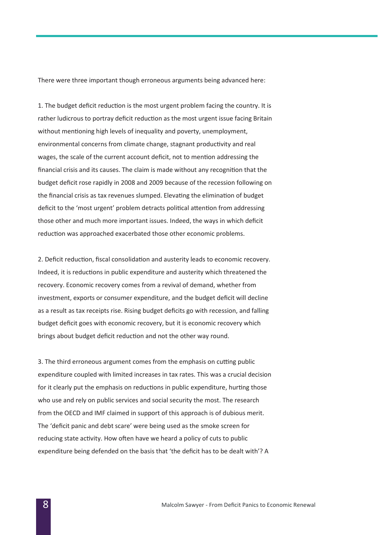There were three important though erroneous arguments being advanced here:

1. The budget deficit reduction is the most urgent problem facing the country. It is rather ludicrous to portray deficit reduction as the most urgent issue facing Britain without mentioning high levels of inequality and poverty, unemployment, environmental concerns from climate change, stagnant productivity and real wages, the scale of the current account deficit, not to mention addressing the financial crisis and its causes. The claim is made without any recognition that the budget deficit rose rapidly in 2008 and 2009 because of the recession following on the financial crisis as tax revenues slumped. Elevating the elimination of budget deficit to the 'most urgent' problem detracts political attention from addressing those other and much more important issues. Indeed, the ways in which deficit reduction was approached exacerbated those other economic problems.

2. Deficit reduction, fiscal consolidation and austerity leads to economic recovery. Indeed, it is reductions in public expenditure and austerity which threatened the recovery. Economic recovery comes from a revival of demand, whether from investment, exports or consumer expenditure, and the budget deficit will decline as a result as tax receipts rise. Rising budget deficits go with recession, and falling budget deficit goes with economic recovery, but it is economic recovery which brings about budget deficit reduction and not the other way round.

3. The third erroneous argument comes from the emphasis on cutting public expenditure coupled with limited increases in tax rates. This was a crucial decision for it clearly put the emphasis on reductions in public expenditure, hurting those who use and rely on public services and social security the most. The research from the OECD and IMF claimed in support of this approach is of dubious merit. The 'deficit panic and debt scare' were being used as the smoke screen for reducing state activity. How often have we heard a policy of cuts to public expenditure being defended on the basis that 'the deficit has to be dealt with'? A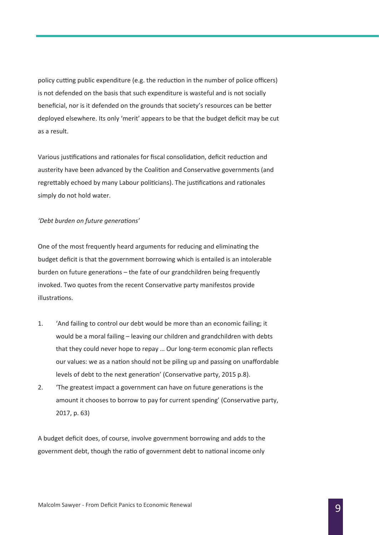policy cutting public expenditure (e.g. the reduction in the number of police officers) is not defended on the basis that such expenditure is wasteful and is not socially beneficial, nor is it defended on the grounds that society's resources can be better deployed elsewhere. Its only 'merit' appears to be that the budget deficit may be cut as a result.

Various justifications and rationales for fiscal consolidation, deficit reduction and austerity have been advanced by the Coalition and Conservative governments (and regrettably echoed by many Labour politicians). The justifications and rationales simply do not hold water.

### *'Debt burden on future generations'*

One of the most frequently heard arguments for reducing and eliminating the budget deficit is that the government borrowing which is entailed is an intolerable burden on future generations – the fate of our grandchildren being frequently invoked. Two quotes from the recent Conservative party manifestos provide illustrations.

- 1. 'And failing to control our debt would be more than an economic failing; it would be a moral failing – leaving our children and grandchildren with debts that they could never hope to repay … Our long-term economic plan reflects our values: we as a nation should not be piling up and passing on unaffordable levels of debt to the next generation' (Conservative party, 2015 p.8).
- 2. 'The greatest impact a government can have on future generations is the amount it chooses to borrow to pay for current spending' (Conservative party, 2017, p. 63)

A budget deficit does, of course, involve government borrowing and adds to the government debt, though the ratio of government debt to national income only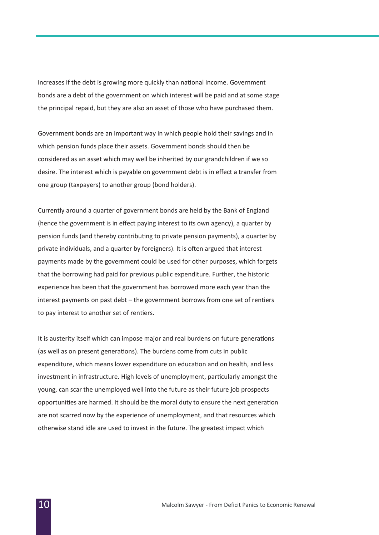increases if the debt is growing more quickly than national income. Government bonds are a debt of the government on which interest will be paid and at some stage the principal repaid, but they are also an asset of those who have purchased them.

Government bonds are an important way in which people hold their savings and in which pension funds place their assets. Government bonds should then be considered as an asset which may well be inherited by our grandchildren if we so desire. The interest which is payable on government debt is in effect a transfer from one group (taxpayers) to another group (bond holders).

Currently around a quarter of government bonds are held by the Bank of England (hence the government is in effect paying interest to its own agency), a quarter by pension funds (and thereby contributing to private pension payments), a quarter by private individuals, and a quarter by foreigners). It is often argued that interest payments made by the government could be used for other purposes, which forgets that the borrowing had paid for previous public expenditure. Further, the historic experience has been that the government has borrowed more each year than the interest payments on past debt – the government borrows from one set of rentiers to pay interest to another set of rentiers.

It is austerity itself which can impose major and real burdens on future generations (as well as on present generations). The burdens come from cuts in public expenditure, which means lower expenditure on education and on health, and less investment in infrastructure. High levels of unemployment, particularly amongst the young, can scar the unemployed well into the future as their future job prospects opportunities are harmed. It should be the moral duty to ensure the next generation are not scarred now by the experience of unemployment, and that resources which otherwise stand idle are used to invest in the future. The greatest impact which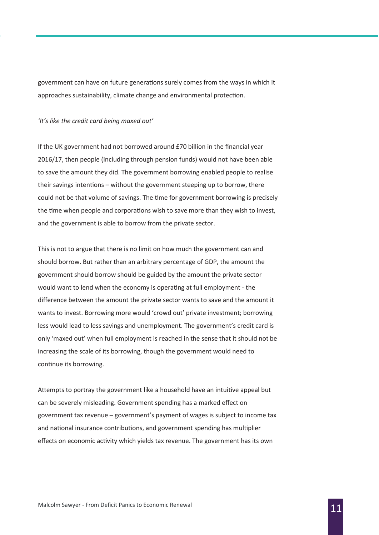government can have on future generations surely comes from the ways in which it approaches sustainability, climate change and environmental protection.

#### *'It's like the credit card being maxed out'*

If the UK government had not borrowed around £70 billion in the financial year 2016/17, then people (including through pension funds) would not have been able to save the amount they did. The government borrowing enabled people to realise their savings intentions – without the government steeping up to borrow, there could not be that volume of savings. The time for government borrowing is precisely the time when people and corporations wish to save more than they wish to invest, and the government is able to borrow from the private sector.

This is not to argue that there is no limit on how much the government can and should borrow. But rather than an arbitrary percentage of GDP, the amount the government should borrow should be guided by the amount the private sector would want to lend when the economy is operating at full employment - the difference between the amount the private sector wants to save and the amount it wants to invest. Borrowing more would 'crowd out' private investment; borrowing less would lead to less savings and unemployment. The government's credit card is only 'maxed out' when full employment is reached in the sense that it should not be increasing the scale of its borrowing, though the government would need to continue its borrowing.

Attempts to portray the government like a household have an intuitive appeal but can be severely misleading. Government spending has a marked effect on government tax revenue – government's payment of wages is subject to income tax and national insurance contributions, and government spending has multiplier effects on economic activity which yields tax revenue. The government has its own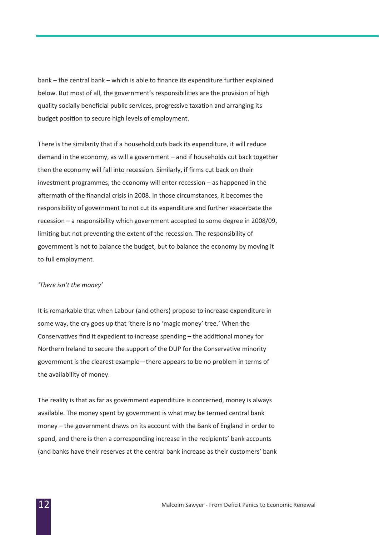bank – the central bank – which is able to finance its expenditure further explained below. But most of all, the government's responsibilities are the provision of high quality socially beneficial public services, progressive taxation and arranging its budget position to secure high levels of employment.

There is the similarity that if a household cuts back its expenditure, it will reduce demand in the economy, as will a government – and if households cut back together then the economy will fall into recession. Similarly, if firms cut back on their investment programmes, the economy will enter recession – as happened in the aftermath of the financial crisis in 2008. In those circumstances, it becomes the responsibility of government to not cut its expenditure and further exacerbate the recession – a responsibility which government accepted to some degree in 2008/09, limiting but not preventing the extent of the recession. The responsibility of government is not to balance the budget, but to balance the economy by moving it to full employment.

#### *'There isn't the money'*

It is remarkable that when Labour (and others) propose to increase expenditure in some way, the cry goes up that 'there is no 'magic money' tree.' When the Conservatives find it expedient to increase spending – the additional money for Northern Ireland to secure the support of the DUP for the Conservative minority government is the clearest example—there appears to be no problem in terms of the availability of money.

The reality is that as far as government expenditure is concerned, money is always available. The money spent by government is what may be termed central bank money – the government draws on its account with the Bank of England in order to spend, and there is then a corresponding increase in the recipients' bank accounts (and banks have their reserves at the central bank increase as their customers' bank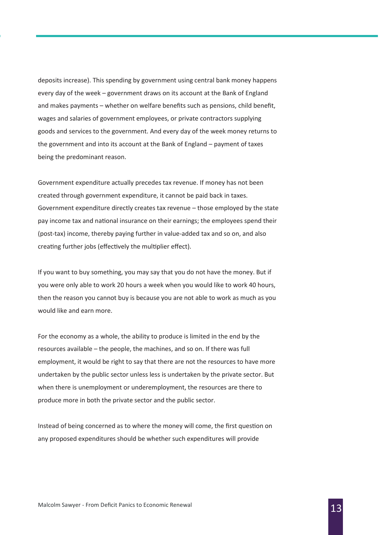deposits increase). This spending by government using central bank money happens every day of the week – government draws on its account at the Bank of England and makes payments – whether on welfare benefits such as pensions, child benefit, wages and salaries of government employees, or private contractors supplying goods and services to the government. And every day of the week money returns to the government and into its account at the Bank of England – payment of taxes being the predominant reason.

Government expenditure actually precedes tax revenue. If money has not been created through government expenditure, it cannot be paid back in taxes. Government expenditure directly creates tax revenue – those employed by the state pay income tax and national insurance on their earnings; the employees spend their (post-tax) income, thereby paying further in value-added tax and so on, and also creating further jobs (effectively the multiplier effect).

If you want to buy something, you may say that you do not have the money. But if you were only able to work 20 hours a week when you would like to work 40 hours, then the reason you cannot buy is because you are not able to work as much as you would like and earn more.

For the economy as a whole, the ability to produce is limited in the end by the resources available – the people, the machines, and so on. If there was full employment, it would be right to say that there are not the resources to have more undertaken by the public sector unless less is undertaken by the private sector. But when there is unemployment or underemployment, the resources are there to produce more in both the private sector and the public sector.

Instead of being concerned as to where the money will come, the first question on any proposed expenditures should be whether such expenditures will provide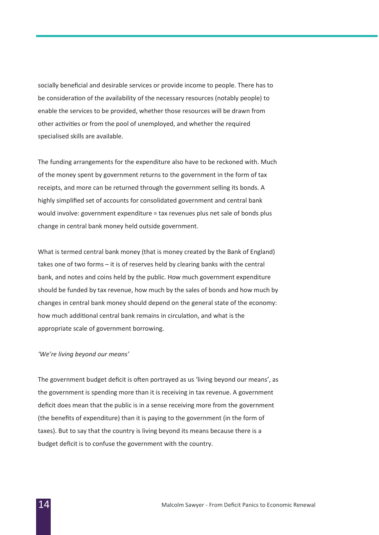socially beneficial and desirable services or provide income to people. There has to be consideration of the availability of the necessary resources (notably people) to enable the services to be provided, whether those resources will be drawn from other activities or from the pool of unemployed, and whether the required specialised skills are available.

The funding arrangements for the expenditure also have to be reckoned with. Much of the money spent by government returns to the government in the form of tax receipts, and more can be returned through the government selling its bonds. A highly simplified set of accounts for consolidated government and central bank would involve: government expenditure = tax revenues plus net sale of bonds plus change in central bank money held outside government.

What is termed central bank money (that is money created by the Bank of England) takes one of two forms – it is of reserves held by clearing banks with the central bank, and notes and coins held by the public. How much government expenditure should be funded by tax revenue, how much by the sales of bonds and how much by changes in central bank money should depend on the general state of the economy: how much additional central bank remains in circulation, and what is the appropriate scale of government borrowing.

#### *'We're living beyond our means'*

The government budget deficit is often portrayed as us 'living beyond our means', as the government is spending more than it is receiving in tax revenue. A government deficit does mean that the public is in a sense receiving more from the government (the benefits of expenditure) than it is paying to the government (in the form of taxes). But to say that the country is living beyond its means because there is a budget deficit is to confuse the government with the country.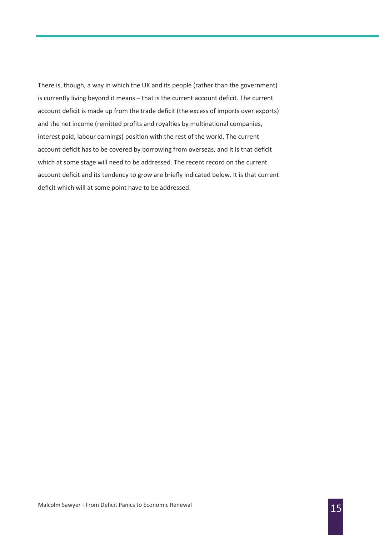There is, though, a way in which the UK and its people (rather than the government) is currently living beyond it means – that is the current account deficit. The current account deficit is made up from the trade deficit (the excess of imports over exports) and the net income (remitted profits and royalties by multinational companies, interest paid, labour earnings) position with the rest of the world. The current account deficit has to be covered by borrowing from overseas, and it is that deficit which at some stage will need to be addressed. The recent record on the current account deficit and its tendency to grow are briefly indicated below. It is that current deficit which will at some point have to be addressed.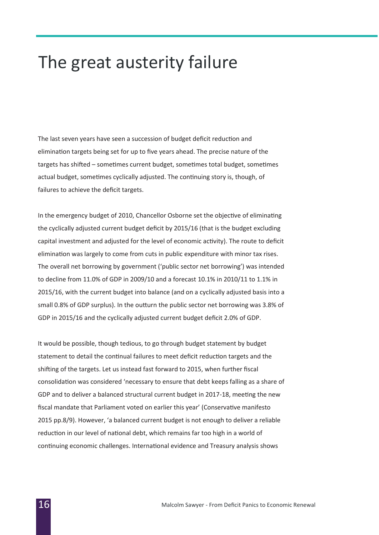### The great austerity failure

The last seven years have seen a succession of budget deficit reduction and elimination targets being set for up to five years ahead. The precise nature of the targets has shifted – sometimes current budget, sometimes total budget, sometimes actual budget, sometimes cyclically adjusted. The continuing story is, though, of failures to achieve the deficit targets.

In the emergency budget of 2010, Chancellor Osborne set the objective of eliminating the cyclically adjusted current budget deficit by 2015/16 (that is the budget excluding capital investment and adjusted for the level of economic activity). The route to deficit elimination was largely to come from cuts in public expenditure with minor tax rises. The overall net borrowing by government ('public sector net borrowing') was intended to decline from 11.0% of GDP in 2009/10 and a forecast 10.1% in 2010/11 to 1.1% in 2015/16, with the current budget into balance (and on a cyclically adjusted basis into a small 0.8% of GDP surplus). In the outturn the public sector net borrowing was 3.8% of GDP in 2015/16 and the cyclically adjusted current budget deficit 2.0% of GDP.

It would be possible, though tedious, to go through budget statement by budget statement to detail the continual failures to meet deficit reduction targets and the shifting of the targets. Let us instead fast forward to 2015, when further fiscal consolidation was considered 'necessary to ensure that debt keeps falling as a share of GDP and to deliver a balanced structural current budget in 2017-18, meeting the new fiscal mandate that Parliament voted on earlier this year' (Conservative manifesto 2015 pp.8/9). However, 'a balanced current budget is not enough to deliver a reliable reduction in our level of national debt, which remains far too high in a world of continuing economic challenges. International evidence and Treasury analysis shows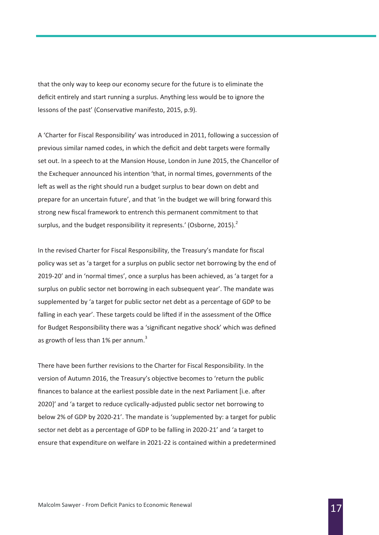that the only way to keep our economy secure for the future is to eliminate the deficit entirely and start running a surplus. Anything less would be to ignore the lessons of the past' (Conservative manifesto, 2015, p.9).

A 'Charter for Fiscal Responsibility' was introduced in 2011, following a succession of previous similar named codes, in which the deficit and debt targets were formally set out. In a speech to at the Mansion House, London in June 2015, the Chancellor of the Exchequer announced his intention 'that, in normal times, governments of the left as well as the right should run a budget surplus to bear down on debt and prepare for an uncertain future', and that 'in the budget we will bring forward this strong new fiscal framework to entrench this permanent commitment to that surplus, and the budget responsibility it represents.' (Osborne, 2015). $^2$ 

In the revised Charter for Fiscal Responsibility, the Treasury's mandate for fiscal policy was set as 'a target for a surplus on public sector net borrowing by the end of 2019-20' and in 'normal times', once a surplus has been achieved, as 'a target for a surplus on public sector net borrowing in each subsequent year'. The mandate was supplemented by 'a target for public sector net debt as a percentage of GDP to be falling in each year'. These targets could be lifted if in the assessment of the Office for Budget Responsibility there was a 'significant negative shock' which was defined as growth of less than  $1\%$  per annum.<sup>3</sup>

There have been further revisions to the Charter for Fiscal Responsibility. In the version of Autumn 2016, the Treasury's objective becomes to 'return the public finances to balance at the earliest possible date in the next Parliament [i.e. after 2020]' and 'a target to reduce cyclically-adjusted public sector net borrowing to below 2% of GDP by 2020-21'. The mandate is 'supplemented by: a target for public sector net debt as a percentage of GDP to be falling in 2020-21' and 'a target to ensure that expenditure on welfare in 2021-22 is contained within a predetermined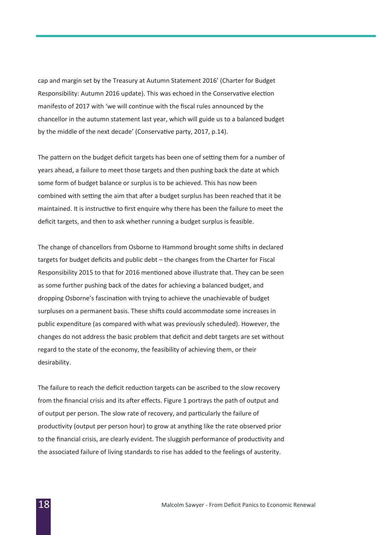cap and margin set by the Treasury at Autumn Statement 2016' (Charter for Budget Responsibility: Autumn 2016 update). This was echoed in the Conservative election manifesto of 2017 with 'we will continue with the fiscal rules announced by the chancellor in the autumn statement last year, which will guide us to a balanced budget by the middle of the next decade' (Conservative party, 2017, p.14).

The pattern on the budget deficit targets has been one of setting them for a number of years ahead, a failure to meet those targets and then pushing back the date at which some form of budget balance or surplus is to be achieved. This has now been combined with setting the aim that after a budget surplus has been reached that it be maintained. It is instructive to first enquire why there has been the failure to meet the deficit targets, and then to ask whether running a budget surplus is feasible.

The change of chancellors from Osborne to Hammond brought some shifts in declared targets for budget deficits and public debt – the changes from the Charter for Fiscal Responsibility 2015 to that for 2016 mentioned above illustrate that. They can be seen as some further pushing back of the dates for achieving a balanced budget, and dropping Osborne's fascination with trying to achieve the unachievable of budget surpluses on a permanent basis. These shifts could accommodate some increases in public expenditure (as compared with what was previously scheduled). However, the changes do not address the basic problem that deficit and debt targets are set without regard to the state of the economy, the feasibility of achieving them, or their desirability.

The failure to reach the deficit reduction targets can be ascribed to the slow recovery from the financial crisis and its after effects. Figure 1 portrays the path of output and of output per person. The slow rate of recovery, and particularly the failure of productivity (output per person hour) to grow at anything like the rate observed prior to the financial crisis, are clearly evident. The sluggish performance of productivity and the associated failure of living standards to rise has added to the feelings of austerity.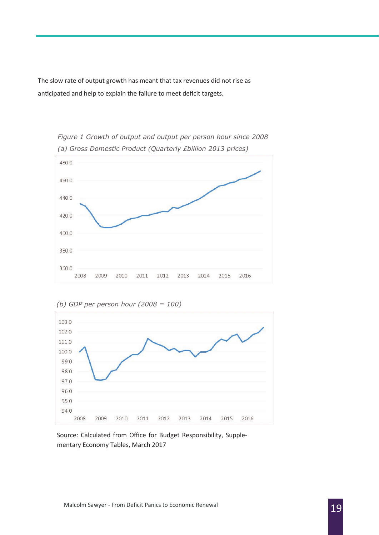The slow rate of output growth has meant that tax revenues did not rise as anticipated and help to explain the failure to meet deficit targets.



*Figure 1 Growth of output and output per person hour since 2008 (a) Gross Domestic Product (Quarterly £billion 2013 prices)*



Source: Calculated from Office for Budget Responsibility, Supplementary Economy Tables, March 2017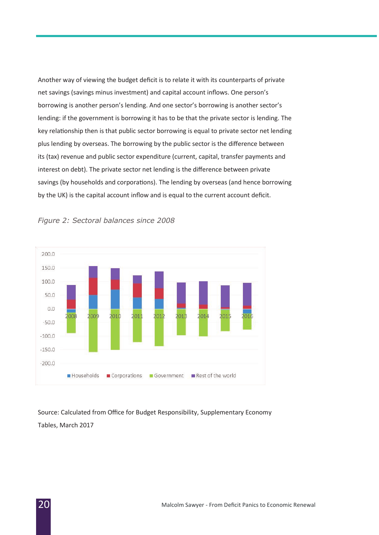Another way of viewing the budget deficit is to relate it with its counterparts of private net savings (savings minus investment) and capital account inflows. One person's borrowing is another person's lending. And one sector's borrowing is another sector's lending: if the government is borrowing it has to be that the private sector is lending. The key relationship then is that public sector borrowing is equal to private sector net lending plus lending by overseas. The borrowing by the public sector is the difference between its (tax) revenue and public sector expenditure (current, capital, transfer payments and interest on debt). The private sector net lending is the difference between private savings (by households and corporations). The lending by overseas (and hence borrowing by the UK) is the capital account inflow and is equal to the current account deficit.



*Figure 2: Sectoral balances since 2008*

Source: Calculated from Office for Budget Responsibility, Supplementary Economy Tables, March 2017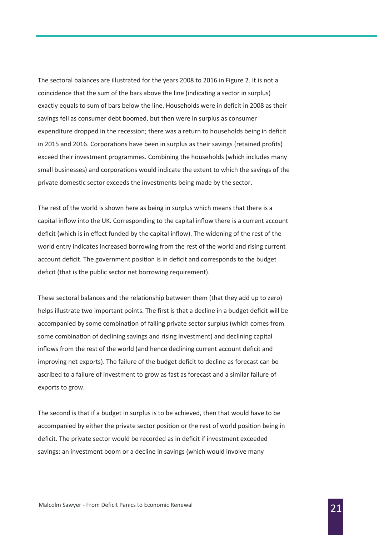The sectoral balances are illustrated for the years 2008 to 2016 in Figure 2. It is not a coincidence that the sum of the bars above the line (indicating a sector in surplus) exactly equals to sum of bars below the line. Households were in deficit in 2008 as their savings fell as consumer debt boomed, but then were in surplus as consumer expenditure dropped in the recession; there was a return to households being in deficit in 2015 and 2016. Corporations have been in surplus as their savings (retained profits) exceed their investment programmes. Combining the households (which includes many small businesses) and corporations would indicate the extent to which the savings of the private domestic sector exceeds the investments being made by the sector.

The rest of the world is shown here as being in surplus which means that there is a capital inflow into the UK. Corresponding to the capital inflow there is a current account deficit (which is in effect funded by the capital inflow). The widening of the rest of the world entry indicates increased borrowing from the rest of the world and rising current account deficit. The government position is in deficit and corresponds to the budget deficit (that is the public sector net borrowing requirement).

These sectoral balances and the relationship between them (that they add up to zero) helps illustrate two important points. The first is that a decline in a budget deficit will be accompanied by some combination of falling private sector surplus (which comes from some combination of declining savings and rising investment) and declining capital inflows from the rest of the world (and hence declining current account deficit and improving net exports). The failure of the budget deficit to decline as forecast can be ascribed to a failure of investment to grow as fast as forecast and a similar failure of exports to grow.

The second is that if a budget in surplus is to be achieved, then that would have to be accompanied by either the private sector position or the rest of world position being in deficit. The private sector would be recorded as in deficit if investment exceeded savings: an investment boom or a decline in savings (which would involve many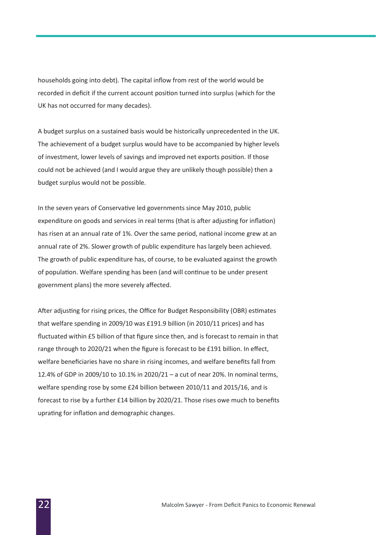households going into debt). The capital inflow from rest of the world would be recorded in deficit if the current account position turned into surplus (which for the UK has not occurred for many decades).

A budget surplus on a sustained basis would be historically unprecedented in the UK. The achievement of a budget surplus would have to be accompanied by higher levels of investment, lower levels of savings and improved net exports position. If those could not be achieved (and I would argue they are unlikely though possible) then a budget surplus would not be possible.

In the seven years of Conservative led governments since May 2010, public expenditure on goods and services in real terms (that is after adjusting for inflation) has risen at an annual rate of 1%. Over the same period, national income grew at an annual rate of 2%. Slower growth of public expenditure has largely been achieved. The growth of public expenditure has, of course, to be evaluated against the growth of population. Welfare spending has been (and will continue to be under present government plans) the more severely affected.

After adjusting for rising prices, the Office for Budget Responsibility (OBR) estimates that welfare spending in 2009/10 was £191.9 billion (in 2010/11 prices) and has fluctuated within £5 billion of that figure since then, and is forecast to remain in that range through to 2020/21 when the figure is forecast to be £191 billion. In effect, welfare beneficiaries have no share in rising incomes, and welfare benefits fall from 12.4% of GDP in 2009/10 to 10.1% in 2020/21 – a cut of near 20%. In nominal terms, welfare spending rose by some £24 billion between 2010/11 and 2015/16, and is forecast to rise by a further £14 billion by 2020/21. Those rises owe much to benefits uprating for inflation and demographic changes.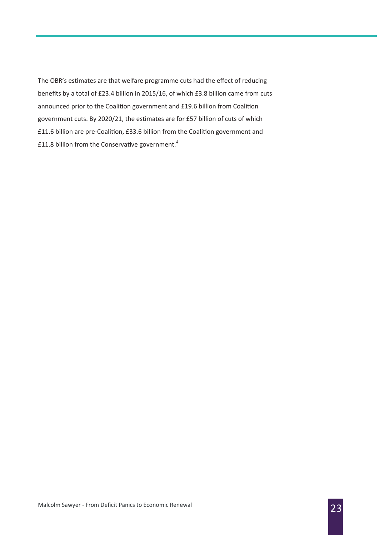The OBR's estimates are that welfare programme cuts had the effect of reducing benefits by a total of £23.4 billion in 2015/16, of which £3.8 billion came from cuts announced prior to the Coalition government and £19.6 billion from Coalition government cuts. By 2020/21, the estimates are for £57 billion of cuts of which £11.6 billion are pre-Coalition, £33.6 billion from the Coalition government and £11.8 billion from the Conservative government.<sup>4</sup>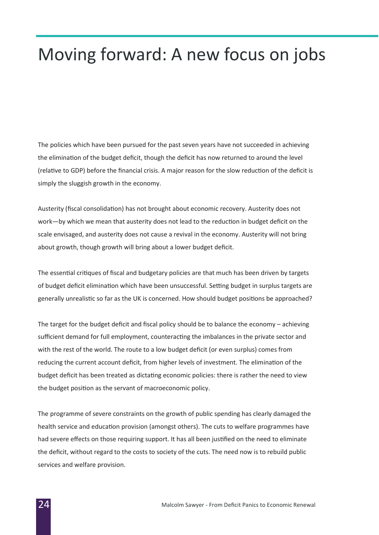# Moving forward: A new focus on jobs

The policies which have been pursued for the past seven years have not succeeded in achieving the elimination of the budget deficit, though the deficit has now returned to around the level (relative to GDP) before the financial crisis. A major reason for the slow reduction of the deficit is simply the sluggish growth in the economy.

Austerity (fiscal consolidation) has not brought about economic recovery. Austerity does not work—by which we mean that austerity does not lead to the reduction in budget deficit on the scale envisaged, and austerity does not cause a revival in the economy. Austerity will not bring about growth, though growth will bring about a lower budget deficit.

The essential critiques of fiscal and budgetary policies are that much has been driven by targets of budget deficit elimination which have been unsuccessful. Setting budget in surplus targets are generally unrealistic so far as the UK is concerned. How should budget positions be approached?

The target for the budget deficit and fiscal policy should be to balance the economy – achieving sufficient demand for full employment, counteracting the imbalances in the private sector and with the rest of the world. The route to a low budget deficit (or even surplus) comes from reducing the current account deficit, from higher levels of investment. The elimination of the budget deficit has been treated as dictating economic policies: there is rather the need to view the budget position as the servant of macroeconomic policy.

The programme of severe constraints on the growth of public spending has clearly damaged the health service and education provision (amongst others). The cuts to welfare programmes have had severe effects on those requiring support. It has all been justified on the need to eliminate the deficit, without regard to the costs to society of the cuts. The need now is to rebuild public services and welfare provision.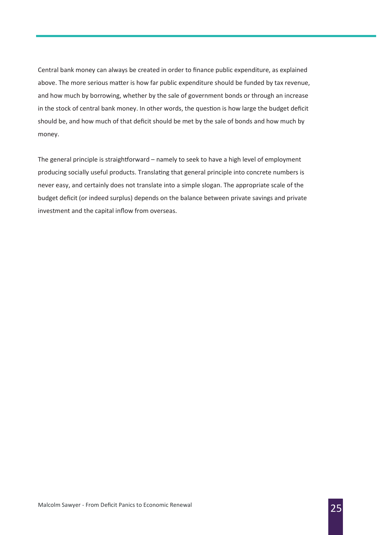Central bank money can always be created in order to finance public expenditure, as explained above. The more serious matter is how far public expenditure should be funded by tax revenue, and how much by borrowing, whether by the sale of government bonds or through an increase in the stock of central bank money. In other words, the question is how large the budget deficit should be, and how much of that deficit should be met by the sale of bonds and how much by money.

The general principle is straightforward – namely to seek to have a high level of employment producing socially useful products. Translating that general principle into concrete numbers is never easy, and certainly does not translate into a simple slogan. The appropriate scale of the budget deficit (or indeed surplus) depends on the balance between private savings and private investment and the capital inflow from overseas.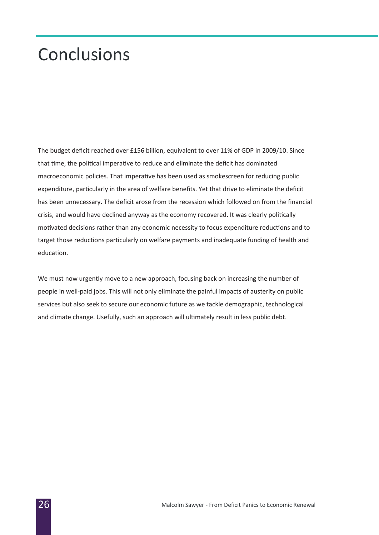## **Conclusions**

The budget deficit reached over £156 billion, equivalent to over 11% of GDP in 2009/10. Since that time, the political imperative to reduce and eliminate the deficit has dominated macroeconomic policies. That imperative has been used as smokescreen for reducing public expenditure, particularly in the area of welfare benefits. Yet that drive to eliminate the deficit has been unnecessary. The deficit arose from the recession which followed on from the financial crisis, and would have declined anyway as the economy recovered. It was clearly politically motivated decisions rather than any economic necessity to focus expenditure reductions and to target those reductions particularly on welfare payments and inadequate funding of health and education.

We must now urgently move to a new approach, focusing back on increasing the number of people in well-paid jobs. This will not only eliminate the painful impacts of austerity on public services but also seek to secure our economic future as we tackle demographic, technological and climate change. Usefully, such an approach will ultimately result in less public debt.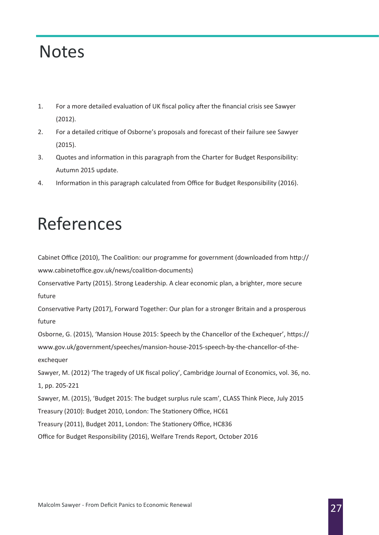### **Notes**

- 1. For a more detailed evaluation of UK fiscal policy after the financial crisis see Sawyer (2012).
- 2. For a detailed critique of Osborne's proposals and forecast of their failure see Sawyer (2015).
- 3. Quotes and information in this paragraph from the Charter for Budget Responsibility: Autumn 2015 update.
- 4. Information in this paragraph calculated from Office for Budget Responsibility (2016).

# References

Cabinet Office (2010), The Coalition: our programme for government (downloaded from http:// www.cabinetoffice.gov.uk/news/coalition-documents)

Conservative Party (2015). Strong Leadership. A clear economic plan, a brighter, more secure future

Conservative Party (2017), Forward Together: Our plan for a stronger Britain and a prosperous future

Osborne, G. (2015), 'Mansion House 2015: Speech by the Chancellor of the Exchequer', https:// www.gov.uk/government/speeches/mansion-house-2015-speech-by-the-chancellor-of-theexchequer

Sawyer, M. (2012) 'The tragedy of UK fiscal policy', Cambridge Journal of Economics, vol. 36, no. 1, pp. 205-221

Sawyer, M. (2015), 'Budget 2015: The budget surplus rule scam', CLASS Think Piece, July 2015

Treasury (2010): Budget 2010, London: The Stationery Office, HC61

Treasury (2011), Budget 2011, London: The Stationery Office, HC836

Office for Budget Responsibility (2016), Welfare Trends Report, October 2016